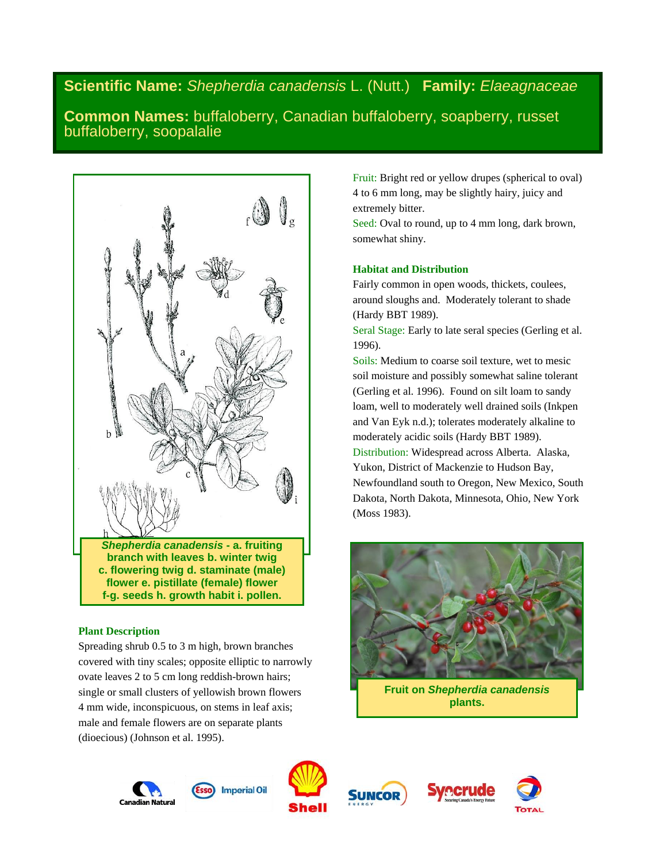# **Scientific Name:** *Shepherdia canadensis* L. (Nutt.) **Family:** *Elaeagnaceae*

**Common Names:** buffaloberry, Canadian buffaloberry, soapberry, russet buffaloberry, soopalalie



*Shepherdia canadensis* **- a. fruiting branch with leaves b. winter twig c. flowering twig d. staminate (male) flower e. pistillate (female) flower f-g. seeds h. growth habit i. pollen.**

# **Plant Description**

Spreading shrub 0.5 to 3 m high, brown branches covered with tiny scales; opposite elliptic to narrowly ovate leaves 2 to 5 cm long reddish-brown hairs; single or small clusters of yellowish brown flowers 4 mm wide, inconspicuous, on stems in leaf axis; male and female flowers are on separate plants (dioecious) (Johnson et al. 1995).

Fruit: Bright red or yellow drupes (spherical to oval) 4 to 6 mm long, may be slightly hairy, juicy and extremely bitter.

Seed: Oval to round, up to 4 mm long, dark brown, somewhat shiny.

# **Habitat and Distribution**

Fairly common in open woods, thickets, coulees, around sloughs and. Moderately tolerant to shade (Hardy BBT 1989).

Seral Stage: Early to late seral species (Gerling et al. 1996).

Soils: Medium to coarse soil texture, wet to mesic soil moisture and possibly somewhat saline tolerant (Gerling et al. 1996). Found on silt loam to sandy loam, well to moderately well drained soils (Inkpen and Van Eyk n.d.); tolerates moderately alkaline to moderately acidic soils (Hardy BBT 1989). Distribution: Widespread across Alberta. Alaska, Yukon, District of Mackenzie to Hudson Bay, Newfoundland south to Oregon, New Mexico, South Dakota, North Dakota, Minnesota, Ohio, New York (Moss 1983).



**Fruit on** *Shepherdia canadensis* **plants.**







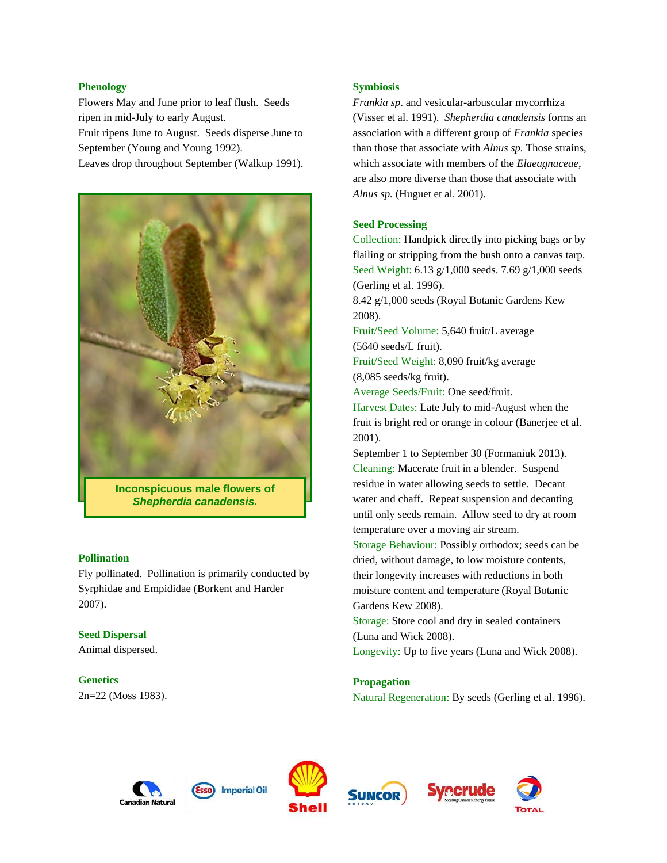## **Phenology**

Flowers May and June prior to leaf flush. Seeds ripen in mid-July to early August.

Fruit ripens June to August. Seeds disperse June to September (Young and Young 1992).

Leaves drop throughout September (Walkup 1991).



*Shepherdia canadensis.*

#### **Pollination**

Fly pollinated. Pollination is primarily conducted by Syrphidae and Empididae (Borkent and Harder 2007).

#### **Seed Dispersal**

Animal dispersed.

#### **Genetics**

2n=22 (Moss 1983).

## **Symbiosis**

*Frankia sp*. and vesicular-arbuscular mycorrhiza (Visser et al. 1991). *Shepherdia canadensis* forms an association with a different group of *Frankia* species than those that associate with *Alnus sp.* Those strains, which associate with members of the *Elaeagnaceae*, are also more diverse than those that associate with *Alnus sp.* (Huguet et al. 2001).

## **Seed Processing**

Collection: Handpick directly into picking bags or by flailing or stripping from the bush onto a canvas tarp. Seed Weight: 6.13 g/1,000 seeds. 7.69 g/1,000 seeds (Gerling et al. 1996).

8.42 g/1,000 seeds (Royal Botanic Gardens Kew 2008).

Fruit/Seed Volume: 5,640 fruit/L average (5640 seeds/L fruit).

Fruit/Seed Weight: 8,090 fruit/kg average (8,085 seeds/kg fruit).

Average Seeds/Fruit: One seed/fruit.

Harvest Dates: Late July to mid-August when the fruit is bright red or orange in colour (Banerjee et al. 2001).

September 1 to September 30 (Formaniuk 2013). Cleaning: Macerate fruit in a blender. Suspend residue in water allowing seeds to settle. Decant water and chaff. Repeat suspension and decanting until only seeds remain. Allow seed to dry at room temperature over a moving air stream.

Storage Behaviour: Possibly orthodox; seeds can be dried, without damage, to low moisture contents, their longevity increases with reductions in both moisture content and temperature (Royal Botanic Gardens Kew 2008).

Storage: Store cool and dry in sealed containers (Luna and Wick 2008).

Longevity: Up to five years (Luna and Wick 2008).

## **Propagation**

Natural Regeneration: By seeds (Gerling et al. 1996).









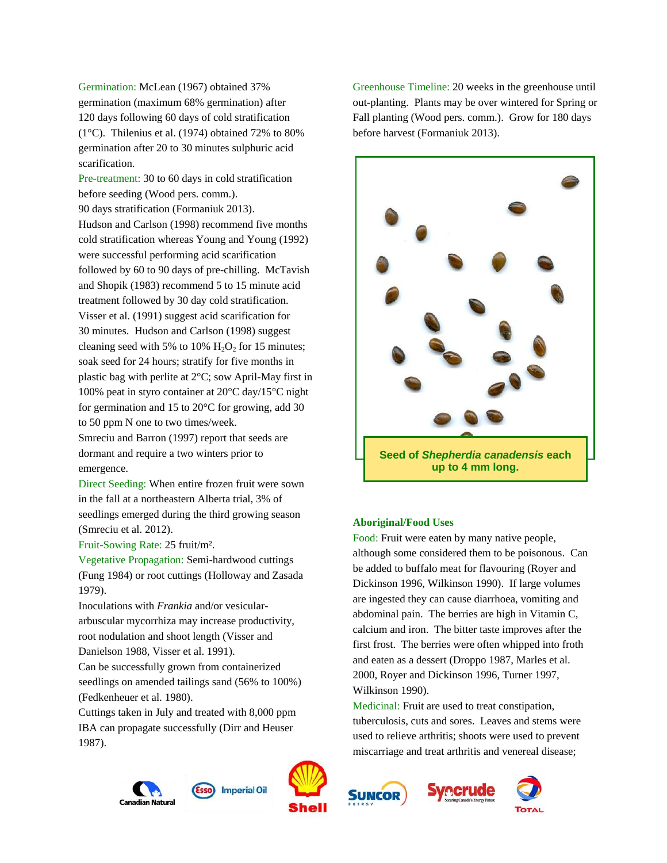Germination: McLean (1967) obtained 37% germination (maximum 68% germination) after 120 days following 60 days of cold stratification (1°C). Thilenius et al. (1974) obtained 72% to 80% germination after 20 to 30 minutes sulphuric acid scarification.

Pre-treatment: 30 to 60 days in cold stratification before seeding (Wood pers. comm.). 90 days stratification (Formaniuk 2013). Hudson and Carlson (1998) recommend five months cold stratification whereas Young and Young (1992) were successful performing acid scarification followed by 60 to 90 days of pre-chilling. McTavish and Shopik (1983) recommend 5 to 15 minute acid treatment followed by 30 day cold stratification. Visser et al. (1991) suggest acid scarification for 30 minutes. Hudson and Carlson (1998) suggest cleaning seed with 5% to 10%  $H_2O_2$  for 15 minutes; soak seed for 24 hours; stratify for five months in plastic bag with perlite at 2°C; sow April-May first in 100% peat in styro container at 20°C day/15°C night for germination and 15 to 20°C for growing, add 30 to 50 ppm N one to two times/week.

Smreciu and Barron (1997) report that seeds are dormant and require a two winters prior to emergence.

Direct Seeding: When entire frozen fruit were sown in the fall at a northeastern Alberta trial, 3% of seedlings emerged during the third growing season (Smreciu et al. 2012).

Fruit-Sowing Rate: 25 fruit/m².

Vegetative Propagation: Semi-hardwood cuttings (Fung 1984) or root cuttings (Holloway and Zasada 1979).

Inoculations with *Frankia* and/or vesiculararbuscular mycorrhiza may increase productivity, root nodulation and shoot length (Visser and Danielson 1988, Visser et al. 1991).

Can be successfully grown from containerized seedlings on amended tailings sand (56% to 100%) (Fedkenheuer et al. 1980).

Cuttings taken in July and treated with 8,000 ppm IBA can propagate successfully (Dirr and Heuser 1987).





#### **Aboriginal/Food Uses**

Food: Fruit were eaten by many native people, although some considered them to be poisonous. Can be added to buffalo meat for flavouring (Royer and Dickinson 1996, Wilkinson 1990). If large volumes are ingested they can cause diarrhoea, vomiting and abdominal pain. The berries are high in Vitamin C, calcium and iron. The bitter taste improves after the first frost. The berries were often whipped into froth and eaten as a dessert (Droppo 1987, Marles et al. 2000, Royer and Dickinson 1996, Turner 1997, Wilkinson 1990).

Medicinal: Fruit are used to treat constipation, tuberculosis, cuts and sores. Leaves and stems were used to relieve arthritis; shoots were used to prevent miscarriage and treat arthritis and venereal disease;









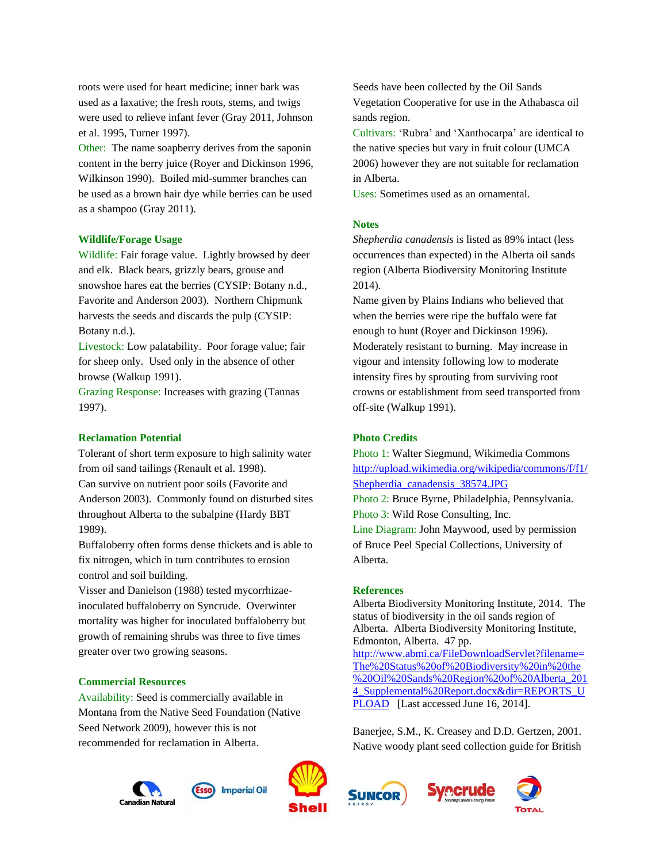roots were used for heart medicine; inner bark was used as a laxative; the fresh roots, stems, and twigs were used to relieve infant fever (Gray 2011, Johnson et al. 1995, Turner 1997).

Other: The name soapberry derives from the saponin content in the berry juice (Royer and Dickinson 1996, Wilkinson 1990). Boiled mid-summer branches can be used as a brown hair dye while berries can be used as a shampoo (Gray 2011).

#### **Wildlife/Forage Usage**

Wildlife: Fair forage value. Lightly browsed by deer and elk. Black bears, grizzly bears, grouse and snowshoe hares eat the berries (CYSIP: Botany n.d., Favorite and Anderson 2003). Northern Chipmunk harvests the seeds and discards the pulp (CYSIP: Botany n.d.).

Livestock: Low palatability. Poor forage value; fair for sheep only. Used only in the absence of other browse (Walkup 1991).

Grazing Response: Increases with grazing (Tannas 1997).

## **Reclamation Potential**

Tolerant of short term exposure to high salinity water from oil sand tailings (Renault et al. 1998). Can survive on nutrient poor soils (Favorite and Anderson 2003). Commonly found on disturbed sites throughout Alberta to the subalpine (Hardy BBT 1989).

Buffaloberry often forms dense thickets and is able to fix nitrogen, which in turn contributes to erosion control and soil building.

Visser and Danielson (1988) tested mycorrhizaeinoculated buffaloberry on Syncrude. Overwinter mortality was higher for inoculated buffaloberry but growth of remaining shrubs was three to five times greater over two growing seasons.

#### **Commercial Resources**

Availability: Seed is commercially available in Montana from the Native Seed Foundation (Native Seed Network 2009), however this is not recommended for reclamation in Alberta.



Seeds have been collected by the Oil Sands Vegetation Cooperative for use in the Athabasca oil sands region.

Cultivars: 'Rubra' and 'Xanthocarpa' are identical to the native species but vary in fruit colour (UMCA 2006) however they are not suitable for reclamation in Alberta.

Uses: Sometimes used as an ornamental.

#### **Notes**

*Shepherdia canadensis* is listed as 89% intact (less occurrences than expected) in the Alberta oil sands region (Alberta Biodiversity Monitoring Institute 2014).

Name given by Plains Indians who believed that when the berries were ripe the buffalo were fat enough to hunt (Royer and Dickinson 1996). Moderately resistant to burning. May increase in vigour and intensity following low to moderate intensity fires by sprouting from surviving root crowns or establishment from seed transported from off-site (Walkup 1991).

## **Photo Credits**

Photo 1: Walter Siegmund, Wikimedia Commons [http://upload.wikimedia.org/wikipedia/commons/f/f1/](http://upload.wikimedia.org/wikipedia/commons/f/f1/Shepherdia_canadensis_38574.JPG) [Shepherdia\\_canadensis\\_38574.JPG](http://upload.wikimedia.org/wikipedia/commons/f/f1/Shepherdia_canadensis_38574.JPG) Photo 2: Bruce Byrne, Philadelphia, Pennsylvania.

Photo 3: Wild Rose Consulting, Inc. Line Diagram: John Maywood, used by permission of Bruce Peel Special Collections, University of Alberta.

#### **References**

Alberta Biodiversity Monitoring Institute, 2014. The status of biodiversity in the oil sands region of Alberta. Alberta Biodiversity Monitoring Institute, Edmonton, Alberta. 47 pp. [http://www.abmi.ca/FileDownloadServlet?filename=](http://www.abmi.ca/FileDownloadServlet?filename=The%20Status%20of%20Biodiversity%20in%20the%20Oil%20Sands%20Region%20of%20Alberta_2014_Supplemental%20Report.docx&dir=REPORTS_UPLOAD) [The%20Status%20of%20Biodiversity%20in%20the](http://www.abmi.ca/FileDownloadServlet?filename=The%20Status%20of%20Biodiversity%20in%20the%20Oil%20Sands%20Region%20of%20Alberta_2014_Supplemental%20Report.docx&dir=REPORTS_UPLOAD) [%20Oil%20Sands%20Region%20of%20Alberta\\_201](http://www.abmi.ca/FileDownloadServlet?filename=The%20Status%20of%20Biodiversity%20in%20the%20Oil%20Sands%20Region%20of%20Alberta_2014_Supplemental%20Report.docx&dir=REPORTS_UPLOAD) 4 Supplemental%20Report.docx&dir=REPORTS\_U [PLOAD](http://www.abmi.ca/FileDownloadServlet?filename=The%20Status%20of%20Biodiversity%20in%20the%20Oil%20Sands%20Region%20of%20Alberta_2014_Supplemental%20Report.docx&dir=REPORTS_UPLOAD) [Last accessed June 16, 2014].

Banerjee, S.M., K. Creasey and D.D. Gertzen, 2001. Native woody plant seed collection guide for British



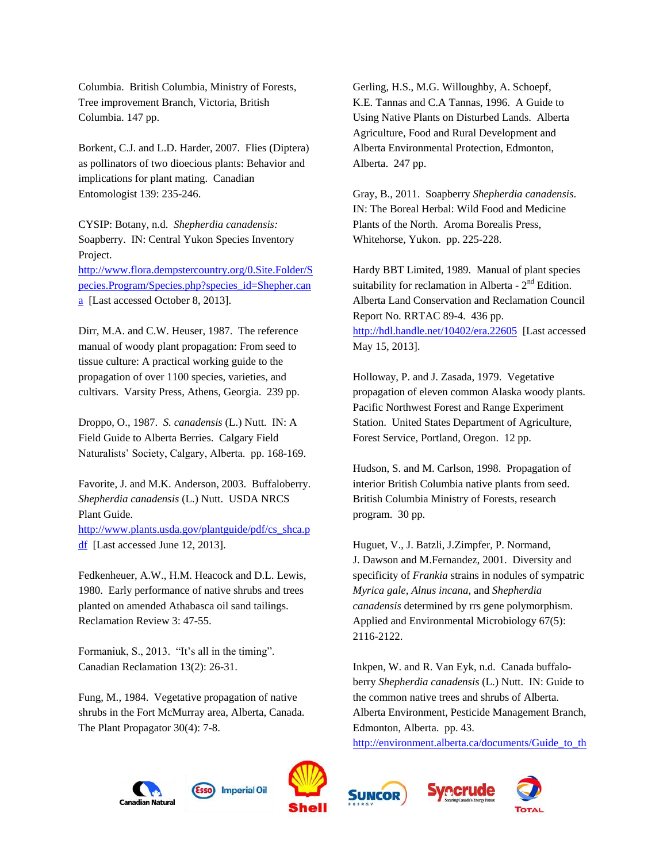Columbia. British Columbia, Ministry of Forests, Tree improvement Branch, Victoria, British Columbia. 147 pp.

Borkent, C.J. and L.D. Harder, 2007. Flies (Diptera) as pollinators of two dioecious plants: Behavior and implications for plant mating. Canadian Entomologist 139: 235-246.

CYSIP: Botany, n.d. *Shepherdia canadensis:* Soapberry. IN: Central Yukon Species Inventory Project. [http://www.flora.dempstercountry.org/0.Site.Folder/S](http://www.flora.dempstercountry.org/0.Site.Folder/Species.Program/Species.php?species_id=Shepher.cana) [pecies.Program/Species.php?species\\_id=Shepher.can](http://www.flora.dempstercountry.org/0.Site.Folder/Species.Program/Species.php?species_id=Shepher.cana) [a](http://www.flora.dempstercountry.org/0.Site.Folder/Species.Program/Species.php?species_id=Shepher.cana) [Last accessed October 8, 2013].

Dirr, M.A. and C.W. Heuser, 1987. The reference manual of woody plant propagation: From seed to tissue culture: A practical working guide to the propagation of over 1100 species, varieties, and cultivars. Varsity Press, Athens, Georgia. 239 pp.

Droppo, O., 1987. *S. canadensis* (L.) Nutt. IN: A Field Guide to Alberta Berries. Calgary Field Naturalists' Society, Calgary, Alberta. pp. 168-169.

Favorite, J. and M.K. Anderson, 2003. Buffaloberry. *Shepherdia canadensis* (L.) Nutt. USDA NRCS Plant Guide.

[http://www.plants.usda.gov/plantguide/pdf/cs\\_shca.p](http://www.plants.usda.gov/plantguide/pdf/cs_shca.pdf) [df](http://www.plants.usda.gov/plantguide/pdf/cs_shca.pdf) [Last accessed June 12, 2013].

Fedkenheuer, A.W., H.M. Heacock and D.L. Lewis, 1980. Early performance of native shrubs and trees planted on amended Athabasca oil sand tailings. Reclamation Review 3: 47-55.

Formaniuk, S., 2013. "It's all in the timing". Canadian Reclamation 13(2): 26-31.

Fung, M., 1984. Vegetative propagation of native shrubs in the Fort McMurray area, Alberta, Canada. The Plant Propagator 30(4): 7-8.

Gerling, H.S., M.G. Willoughby, A. Schoepf, K.E. Tannas and C.A Tannas, 1996. A Guide to Using Native Plants on Disturbed Lands. Alberta Agriculture, Food and Rural Development and Alberta Environmental Protection, Edmonton, Alberta. 247 pp.

Gray, B., 2011. Soapberry *Shepherdia canadensis*. IN: The Boreal Herbal: Wild Food and Medicine Plants of the North. Aroma Borealis Press, Whitehorse, Yukon. pp. 225-228.

Hardy BBT Limited, 1989. Manual of plant species suitability for reclamation in Alberta -  $2<sup>nd</sup>$  Edition. Alberta Land Conservation and Reclamation Council Report No. RRTAC 89-4. 436 pp. <http://hdl.handle.net/10402/era.22605>[Last accessed May 15, 2013].

Holloway, P. and J. Zasada, 1979. Vegetative propagation of eleven common Alaska woody plants. Pacific Northwest Forest and Range Experiment Station. United States Department of Agriculture, Forest Service, Portland, Oregon. 12 pp.

Hudson, S. and M. Carlson, 1998. Propagation of interior British Columbia native plants from seed. British Columbia Ministry of Forests, research program. 30 pp.

Huguet, V., J. Batzli, J.Zimpfer, P. Normand, J. Dawson and M.Fernandez, 2001. Diversity and specificity of *Frankia* strains in nodules of sympatric *Myrica gale, Alnus incana*, and *Shepherdia canadensis* determined by rrs gene polymorphism. Applied and Environmental Microbiology 67(5): 2116-2122.

Inkpen, W. and R. Van Eyk, n.d. Canada buffaloberry *Shepherdia canadensis* (L.) Nutt. IN: Guide to the common native trees and shrubs of Alberta. Alberta Environment, Pesticide Management Branch, Edmonton, Alberta. pp. 43.

[http://environment.alberta.ca/documents/Guide\\_to\\_th](http://environment.alberta.ca/documents/Guide_to_the_Common_Native_Trees_and_Shrubs_of_Alberta.pdf)

recrude







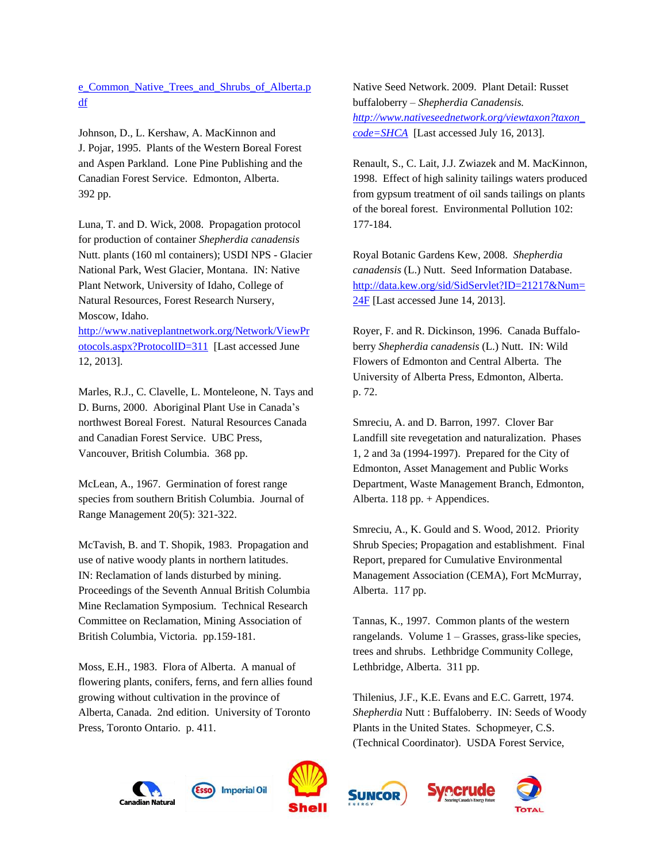[e\\_Common\\_Native\\_Trees\\_and\\_Shrubs\\_of\\_Alberta.p](http://environment.alberta.ca/documents/Guide_to_the_Common_Native_Trees_and_Shrubs_of_Alberta.pdf) [df](http://environment.alberta.ca/documents/Guide_to_the_Common_Native_Trees_and_Shrubs_of_Alberta.pdf)

Johnson, D., L. Kershaw, A. MacKinnon and J. Pojar, 1995. Plants of the Western Boreal Forest and Aspen Parkland. Lone Pine Publishing and the Canadian Forest Service. Edmonton, Alberta. 392 pp.

Luna, T. and D. Wick, 2008. Propagation protocol for production of container *Shepherdia canadensis* Nutt. plants (160 ml containers); USDI NPS - Glacier National Park, West Glacier, Montana. IN: Native Plant Network, University of Idaho, College of Natural Resources, Forest Research Nursery, Moscow, Idaho.

[http://www.nativeplantnetwork.org/Network/ViewPr](http://www.nativeplantnetwork.org/Network/ViewProtocols.aspx?ProtocolID=311) [otocols.aspx?ProtocolID=311](http://www.nativeplantnetwork.org/Network/ViewProtocols.aspx?ProtocolID=311) [Last accessed June 12, 2013].

Marles, R.J., C. Clavelle, L. Monteleone, N. Tays and D. Burns, 2000. Aboriginal Plant Use in Canada's northwest Boreal Forest. Natural Resources Canada and Canadian Forest Service. UBC Press, Vancouver, British Columbia. 368 pp.

McLean, A., 1967. Germination of forest range species from southern British Columbia. Journal of Range Management 20(5): 321-322.

McTavish, B. and T. Shopik, 1983. Propagation and use of native woody plants in northern latitudes. IN: Reclamation of lands disturbed by mining. Proceedings of the Seventh Annual British Columbia Mine Reclamation Symposium. Technical Research Committee on Reclamation, Mining Association of British Columbia, Victoria. pp.159-181.

Moss, E.H., 1983. Flora of Alberta. A manual of flowering plants, conifers, ferns, and fern allies found growing without cultivation in the province of Alberta, Canada. 2nd edition. University of Toronto Press, Toronto Ontario. p. 411.

Native Seed Network. 2009. Plant Detail: Russet buffaloberry – *Shepherdia Canadensis. [http://www.nativeseednetwork.org/viewtaxon?taxon\\_](http://www.nativeseednetwork.org/viewtaxon?taxon_code=SHCA) [code=SHCA](http://www.nativeseednetwork.org/viewtaxon?taxon_code=SHCA)* [Last accessed July 16, 2013].

Renault, S., C. Lait, J.J. Zwiazek and M. MacKinnon, 1998. Effect of high salinity tailings waters produced from gypsum treatment of oil sands tailings on plants of the boreal forest. Environmental Pollution 102: 177-184.

Royal Botanic Gardens Kew, 2008. *Shepherdia canadensis* (L.) Nutt. Seed Information Database. [http://data.kew.org/sid/SidServlet?ID=21217&Num=](http://data.kew.org/sid/SidServlet?ID=21217&Num=24F) [24F](http://data.kew.org/sid/SidServlet?ID=21217&Num=24F) [Last accessed June 14, 2013].

Royer, F. and R. Dickinson, 1996. Canada Buffaloberry *Shepherdia canadensis* (L.) Nutt. IN: Wild Flowers of Edmonton and Central Alberta. The University of Alberta Press, Edmonton, Alberta. p. 72.

Smreciu, A. and D. Barron, 1997. Clover Bar Landfill site revegetation and naturalization. Phases 1, 2 and 3a (1994-1997). Prepared for the City of Edmonton, Asset Management and Public Works Department, Waste Management Branch, Edmonton, Alberta.  $118$  pp. + Appendices.

Smreciu, A., K. Gould and S. Wood, 2012. Priority Shrub Species; Propagation and establishment. Final Report, prepared for Cumulative Environmental Management Association (CEMA), Fort McMurray, Alberta. 117 pp.

Tannas, K., 1997. Common plants of the western rangelands. Volume 1 – Grasses, grass-like species, trees and shrubs. Lethbridge Community College, Lethbridge, Alberta. 311 pp.

Thilenius, J.F., K.E. Evans and E.C. Garrett, 1974. *Shepherdia* Nutt : Buffaloberry. IN: Seeds of Woody Plants in the United States. Schopmeyer, C.S. (Technical Coordinator). USDA Forest Service,